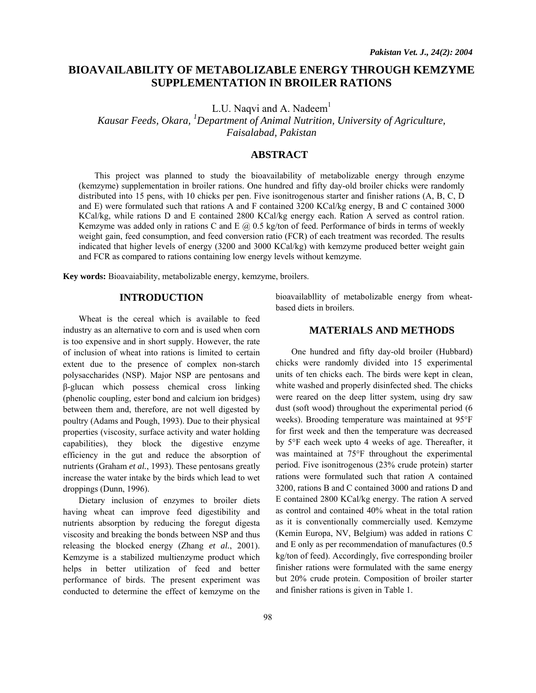# **BIOAVAILABILITY OF METABOLIZABLE ENERGY THROUGH KEMZYME SUPPLEMENTATION IN BROILER RATIONS**

L.U. Naqvi and A. Nadeem $<sup>1</sup>$ </sup>

*Kausar Feeds, Okara, <sup>1</sup> Department of Animal Nutrition, University of Agriculture, Faisalabad, Pakistan* 

# **ABSTRACT**

This project was planned to study the bioavailability of metabolizable energy through enzyme (kemzyme) supplementation in broiler rations. One hundred and fifty day-old broiler chicks were randomly distributed into 15 pens, with 10 chicks per pen. Five isonitrogenous starter and finisher rations (A, B, C, D and E) were formulated such that rations A and F contained 3200 KCal/kg energy, B and C contained 3000 KCal/kg, while rations D and E contained 2800 KCal/kg energy each. Ration A served as control ration. Kemzyme was added only in rations C and E  $@$  0.5 kg/ton of feed. Performance of birds in terms of weekly weight gain, feed consumption, and feed conversion ratio (FCR) of each treatment was recorded. The results indicated that higher levels of energy (3200 and 3000 KCal/kg) with kemzyme produced better weight gain and FCR as compared to rations containing low energy levels without kemzyme.

**Key words:** Bioavaiability, metabolizable energy, kemzyme, broilers.

## **INTRODUCTION**

Wheat is the cereal which is available to feed industry as an alternative to corn and is used when corn is too expensive and in short supply. However, the rate of inclusion of wheat into rations is limited to certain extent due to the presence of complex non-starch polysaccharides (NSP). Major NSP are pentosans and β-glucan which possess chemical cross linking (phenolic coupling, ester bond and calcium ion bridges) between them and, therefore, are not well digested by poultry (Adams and Pough, 1993). Due to their physical properties (viscosity, surface activity and water holding capabilities), they block the digestive enzyme efficiency in the gut and reduce the absorption of nutrients (Graham *et al.*, 1993). These pentosans greatly increase the water intake by the birds which lead to wet droppings (Dunn, 1996).

Dietary inclusion of enzymes to broiler diets having wheat can improve feed digestibility and nutrients absorption by reducing the foregut digesta viscosity and breaking the bonds between NSP and thus releasing the blocked energy (Zhang *et al.*, 2001). Kemzyme is a stabilized multienzyme product which helps in better utilization of feed and better performance of birds. The present experiment was conducted to determine the effect of kemzyme on the

bioavailabllity of metabolizable energy from wheatbased diets in broilers.

### **MATERIALS AND METHODS**

One hundred and fifty day-old broiler (Hubbard) chicks were randomly divided into 15 experimental units of ten chicks each. The birds were kept in clean, white washed and properly disinfected shed. The chicks were reared on the deep litter system, using dry saw dust (soft wood) throughout the experimental period (6 weeks). Brooding temperature was maintained at 95°F for first week and then the temperature was decreased by 5°F each week upto 4 weeks of age. Thereafter, it was maintained at 75°F throughout the experimental period. Five isonitrogenous (23% crude protein) starter rations were formulated such that ration A contained 3200, rations B and C contained 3000 and rations D and E contained 2800 KCal/kg energy. The ration A served as control and contained 40% wheat in the total ration as it is conventionally commercially used. Kemzyme (Kemin Europa, NV, Belgium) was added in rations C and E only as per recommendation of manufactures (0.5 kg/ton of feed). Accordingly, five corresponding broiler finisher rations were formulated with the same energy but 20% crude protein. Composition of broiler starter and finisher rations is given in Table 1.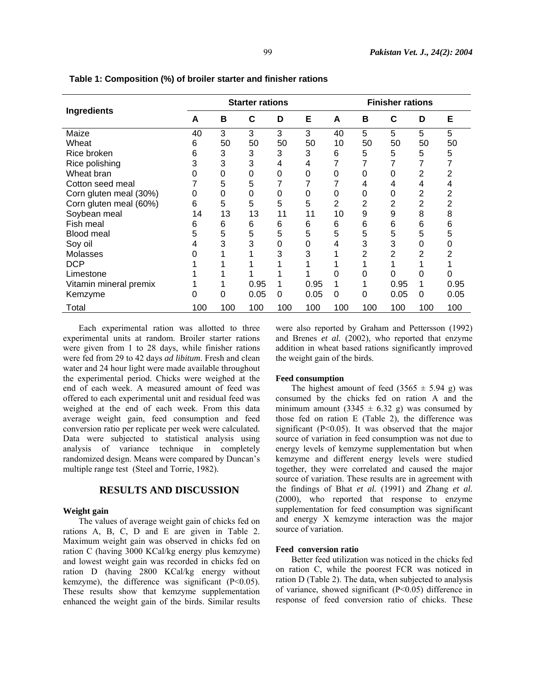| Ingredients            | <b>Starter rations</b> |     |      |     |      | <b>Finisher rations</b> |     |      |     |      |
|------------------------|------------------------|-----|------|-----|------|-------------------------|-----|------|-----|------|
|                        | A                      | в   | C    | D   | Е    | A                       | в   | C    | D   | Е    |
| Maize                  | 40                     | 3   | 3    | 3   | 3    | 40                      | 5   | 5    | 5   | 5    |
| Wheat                  | 6                      | 50  | 50   | 50  | 50   | 10                      | 50  | 50   | 50  | 50   |
| Rice broken            | 6                      | 3   | 3    | 3   | 3    | 6                       | 5   | 5    | 5   | 5    |
| Rice polishing         | 3                      | 3   | 3    | 4   | 4    |                         | 7   |      |     |      |
| Wheat bran             | 0                      | 0   | 0    | 0   | 0    | 0                       | 0   |      | 2   | 2    |
| Cotton seed meal       |                        | 5   | 5    |     |      |                         | 4   | 4    |     |      |
| Corn gluten meal (30%) | 0                      | 0   | 0    | 0   | 0    | 0                       | 0   | 0    | 2   |      |
| Corn gluten meal (60%) | 6                      | 5   | 5    | 5   | 5    | $\overline{2}$          | 2   | 2    | 2   |      |
| Soybean meal           | 14                     | 13  | 13   | 11  | 11   | 10                      | 9   | 9    | 8   | 8    |
| Fish meal              | 6                      | 6   | 6    | 6   | 6    | 6                       | 6   | 6    | 6   | 6    |
| <b>Blood meal</b>      | 5                      | 5   | 5    | 5   | 5    | 5                       | 5   | 5    | 5   | 5    |
| Soy oil                | 4                      | 3   | 3    | 0   | 0    | 4                       | 3   | 3    | 0   |      |
| Molasses               |                        |     |      | 3   | 3    |                         | 2   | 2    | 2   |      |
| <b>DCP</b>             |                        |     |      |     |      |                         |     |      |     |      |
| Limestone              |                        |     |      |     |      | 0                       |     |      | 0   |      |
| Vitamin mineral premix |                        |     | 0.95 | 1   | 0.95 | 1                       |     | 0.95 | 1   | 0.95 |
| Kemzyme                | Ω                      | 0   | 0.05 | 0   | 0.05 | $\Omega$                | 0   | 0.05 | 0   | 0.05 |
| Total                  | 100                    | 100 | 100  | 100 | 100  | 100                     | 100 | 100  | 100 | 100  |

**Table 1: Composition (%) of broiler starter and finisher rations** 

Each experimental ration was allotted to three experimental units at random. Broiler starter rations were given from 1 to 28 days, while finisher rations were fed from 29 to 42 days *ad libitum*. Fresh and clean water and 24 hour light were made available throughout the experimental period. Chicks were weighed at the end of each week. A measured amount of feed was offered to each experimental unit and residual feed was weighed at the end of each week. From this data average weight gain, feed consumption and feed conversion ratio per replicate per week were calculated. Data were subjected to statistical analysis using analysis of variance technique in completely randomized design. Means were compared by Duncan's multiple range test (Steel and Torrie, 1982).

# **RESULTS AND DISCUSSION**

#### **Weight gain**

The values of average weight gain of chicks fed on rations A, B, C, D and E are given in Table 2. Maximum weight gain was observed in chicks fed on ration C (having 3000 KCal/kg energy plus kemzyme) and lowest weight gain was recorded in chicks fed on ration D (having 2800 KCal/kg energy without kemzyme), the difference was significant  $(P<0.05)$ . These results show that kemzyme supplementation enhanced the weight gain of the birds. Similar results

were also reported by Graham and Pettersson (1992) and Brenes *et al.* (2002), who reported that enzyme addition in wheat based rations significantly improved the weight gain of the birds.

#### **Feed consumption**

The highest amount of feed  $(3565 \pm 5.94 \text{ g})$  was consumed by the chicks fed on ration A and the minimum amount (3345  $\pm$  6.32 g) was consumed by those fed on ration E (Table 2), the difference was significant (P<0.05). It was observed that the major source of variation in feed consumption was not due to energy levels of kemzyme supplementation but when kemzyme and different energy levels were studied together, they were correlated and caused the major source of variation. These results are in agreement with the findings of Bhat *et al.* (1991) and Zhang *et al.* (2000), who reported that response to enzyme supplementation for feed consumption was significant and energy X kemzyme interaction was the major source of variation.

#### **Feed conversion ratio**

Better feed utilization was noticed in the chicks fed on ration C, while the poorest FCR was noticed in ration D (Table 2). The data, when subjected to analysis of variance, showed significant (P<0.05) difference in response of feed conversion ratio of chicks. These